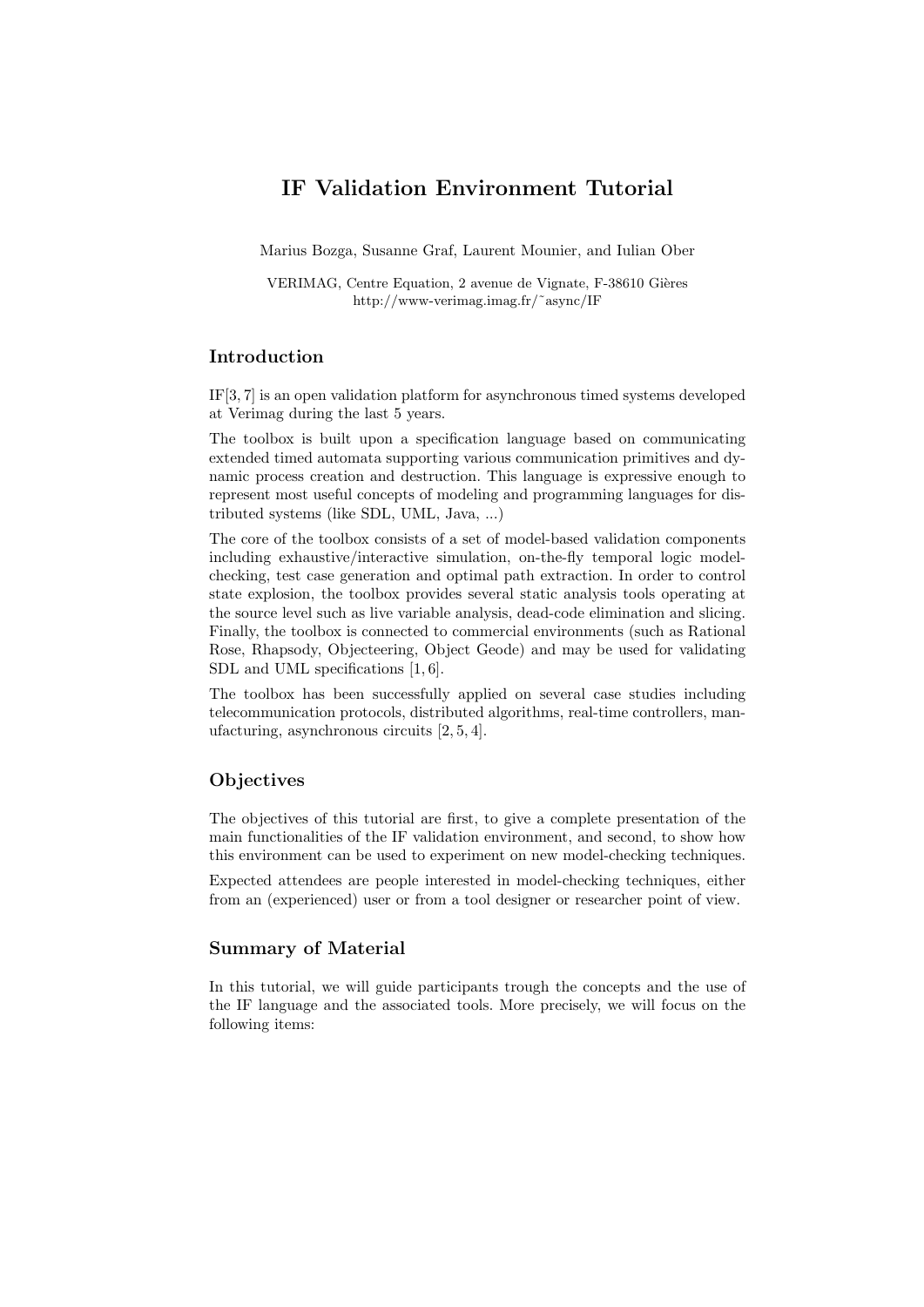# IF Validation Environment Tutorial

Marius Bozga, Susanne Graf, Laurent Mounier, and Iulian Ober

VERIMAG, Centre Equation, 2 avenue de Vignate, F-38610 Gières http://www-verimag.imag.fr/˜async/IF

# Introduction

IF[3, 7] is an open validation platform for asynchronous timed systems developed at Verimag during the last 5 years.

The toolbox is built upon a specification language based on communicating extended timed automata supporting various communication primitives and dynamic process creation and destruction. This language is expressive enough to represent most useful concepts of modeling and programming languages for distributed systems (like SDL, UML, Java, ...)

The core of the toolbox consists of a set of model-based validation components including exhaustive/interactive simulation, on-the-fly temporal logic modelchecking, test case generation and optimal path extraction. In order to control state explosion, the toolbox provides several static analysis tools operating at the source level such as live variable analysis, dead-code elimination and slicing. Finally, the toolbox is connected to commercial environments (such as Rational Rose, Rhapsody, Objecteering, Object Geode) and may be used for validating SDL and UML specifications [1, 6].

The toolbox has been successfully applied on several case studies including telecommunication protocols, distributed algorithms, real-time controllers, manufacturing, asynchronous circuits [2, 5, 4].

#### **Objectives**

The objectives of this tutorial are first, to give a complete presentation of the main functionalities of the IF validation environment, and second, to show how this environment can be used to experiment on new model-checking techniques.

Expected attendees are people interested in model-checking techniques, either from an (experienced) user or from a tool designer or researcher point of view.

## Summary of Material

In this tutorial, we will guide participants trough the concepts and the use of the IF language and the associated tools. More precisely, we will focus on the following items: